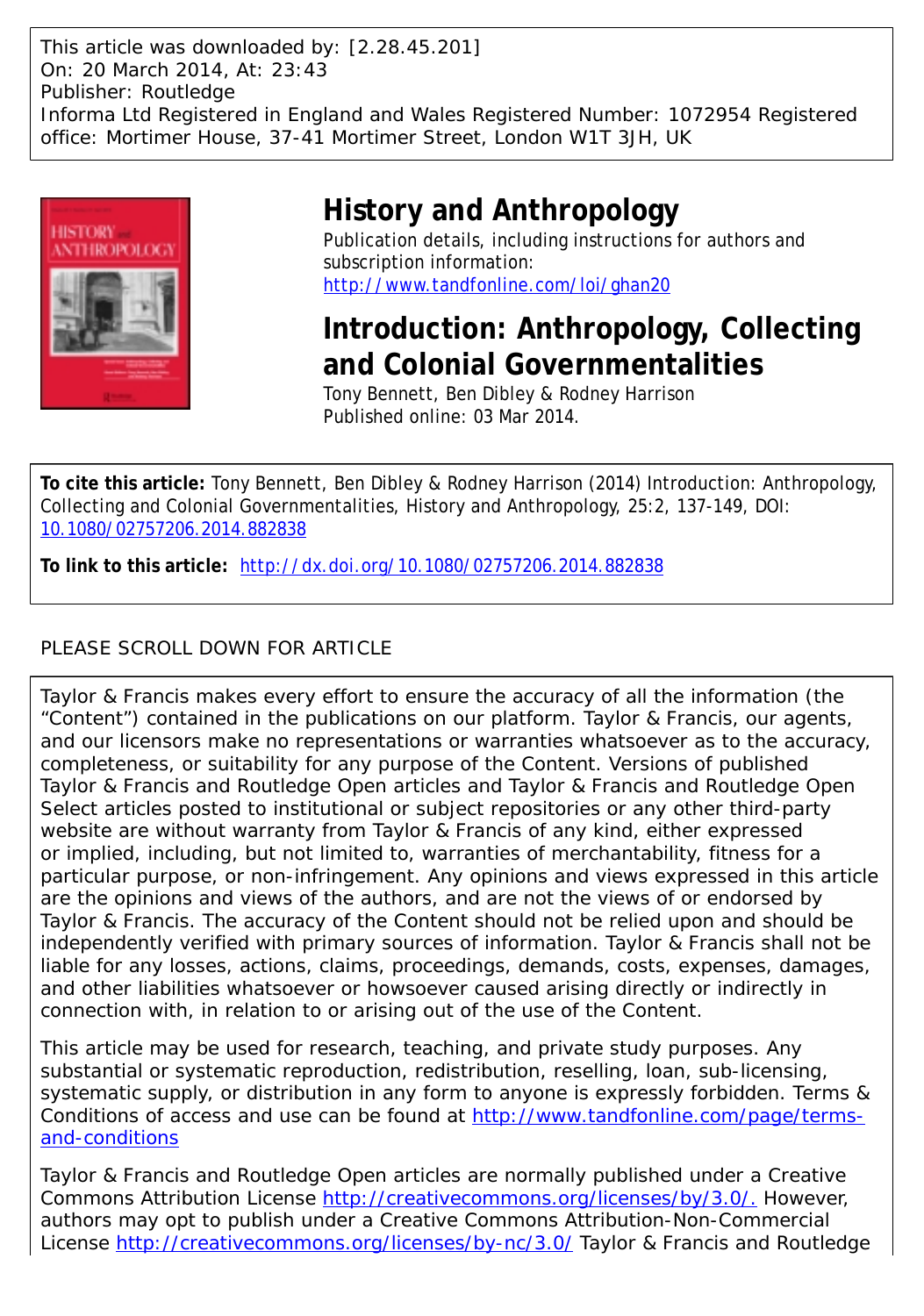This article was downloaded by: [2.28.45.201] On: 20 March 2014, At: 23:43 Publisher: Routledge Informa Ltd Registered in England and Wales Registered Number: 1072954 Registered office: Mortimer House, 37-41 Mortimer Street, London W1T 3JH, UK



## **History and Anthropology**

Publication details, including instructions for authors and subscription information: <http://www.tandfonline.com/loi/ghan20>

# **Introduction: Anthropology, Collecting and Colonial Governmentalities**

Tony Bennett, Ben Dibley & Rodney Harrison Published online: 03 Mar 2014.

**To cite this article:** Tony Bennett, Ben Dibley & Rodney Harrison (2014) Introduction: Anthropology, Collecting and Colonial Governmentalities, History and Anthropology, 25:2, 137-149, DOI: [10.1080/02757206.2014.882838](http://www.tandfonline.com/action/showCitFormats?doi=10.1080/02757206.2014.882838)

**To link to this article:** <http://dx.doi.org/10.1080/02757206.2014.882838>

### PLEASE SCROLL DOWN FOR ARTICLE

Taylor & Francis makes every effort to ensure the accuracy of all the information (the "Content") contained in the publications on our platform. Taylor & Francis, our agents, and our licensors make no representations or warranties whatsoever as to the accuracy, completeness, or suitability for any purpose of the Content. Versions of published Taylor & Francis and Routledge Open articles and Taylor & Francis and Routledge Open Select articles posted to institutional or subject repositories or any other third-party website are without warranty from Taylor & Francis of any kind, either expressed or implied, including, but not limited to, warranties of merchantability, fitness for a particular purpose, or non-infringement. Any opinions and views expressed in this article are the opinions and views of the authors, and are not the views of or endorsed by Taylor & Francis. The accuracy of the Content should not be relied upon and should be independently verified with primary sources of information. Taylor & Francis shall not be liable for any losses, actions, claims, proceedings, demands, costs, expenses, damages, and other liabilities whatsoever or howsoever caused arising directly or indirectly in connection with, in relation to or arising out of the use of the Content.

This article may be used for research, teaching, and private study purposes. Any substantial or systematic reproduction, redistribution, reselling, loan, sub-licensing, systematic supply, or distribution in any form to anyone is expressly forbidden. Terms & Conditions of access and use can be found at [http://www.tandfonline.com/page/terms](http://www.tandfonline.com/page/terms-and-conditions)[and-conditions](http://www.tandfonline.com/page/terms-and-conditions)

Taylor & Francis and Routledge Open articles are normally published under a Creative Commons Attribution License<http://creativecommons.org/licenses/by/3.0/.> However, authors may opt to publish under a Creative Commons Attribution-Non-Commercial License<http://creativecommons.org/licenses/by-nc/3.0/> Taylor & Francis and Routledge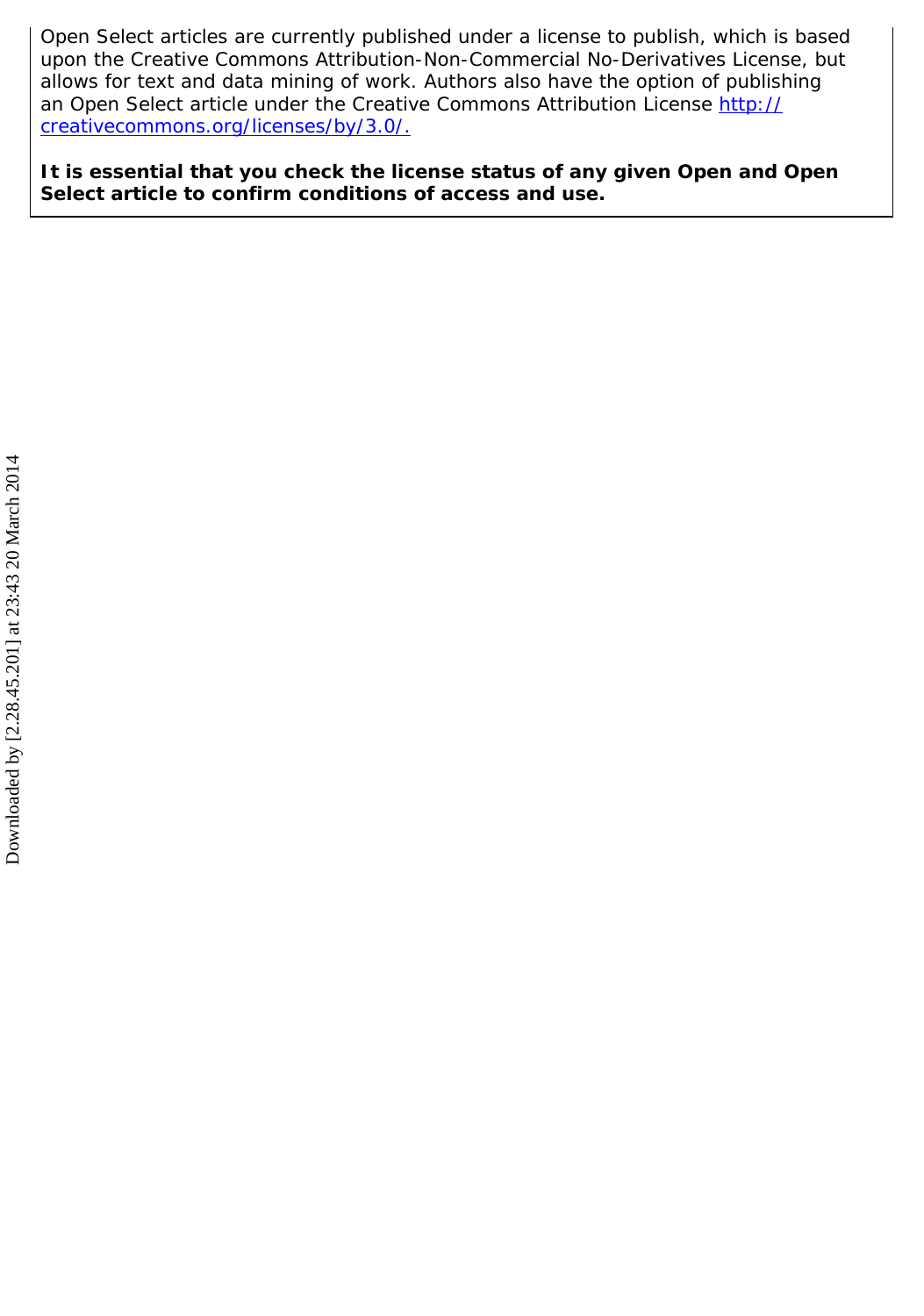Open Select articles are currently published under a license to publish, which is based upon the Creative Commons Attribution-Non-Commercial No-Derivatives License, but allows for text and data mining of work. Authors also have the option of publishing an Open Select article under the Creative Commons Attribution License [http://](http://creativecommons.org/licenses/by/3.0/.) [creativecommons.org/licenses/by/3.0/.](http://creativecommons.org/licenses/by/3.0/.)

**It is essential that you check the license status of any given Open and Open Select article to confirm conditions of access and use.**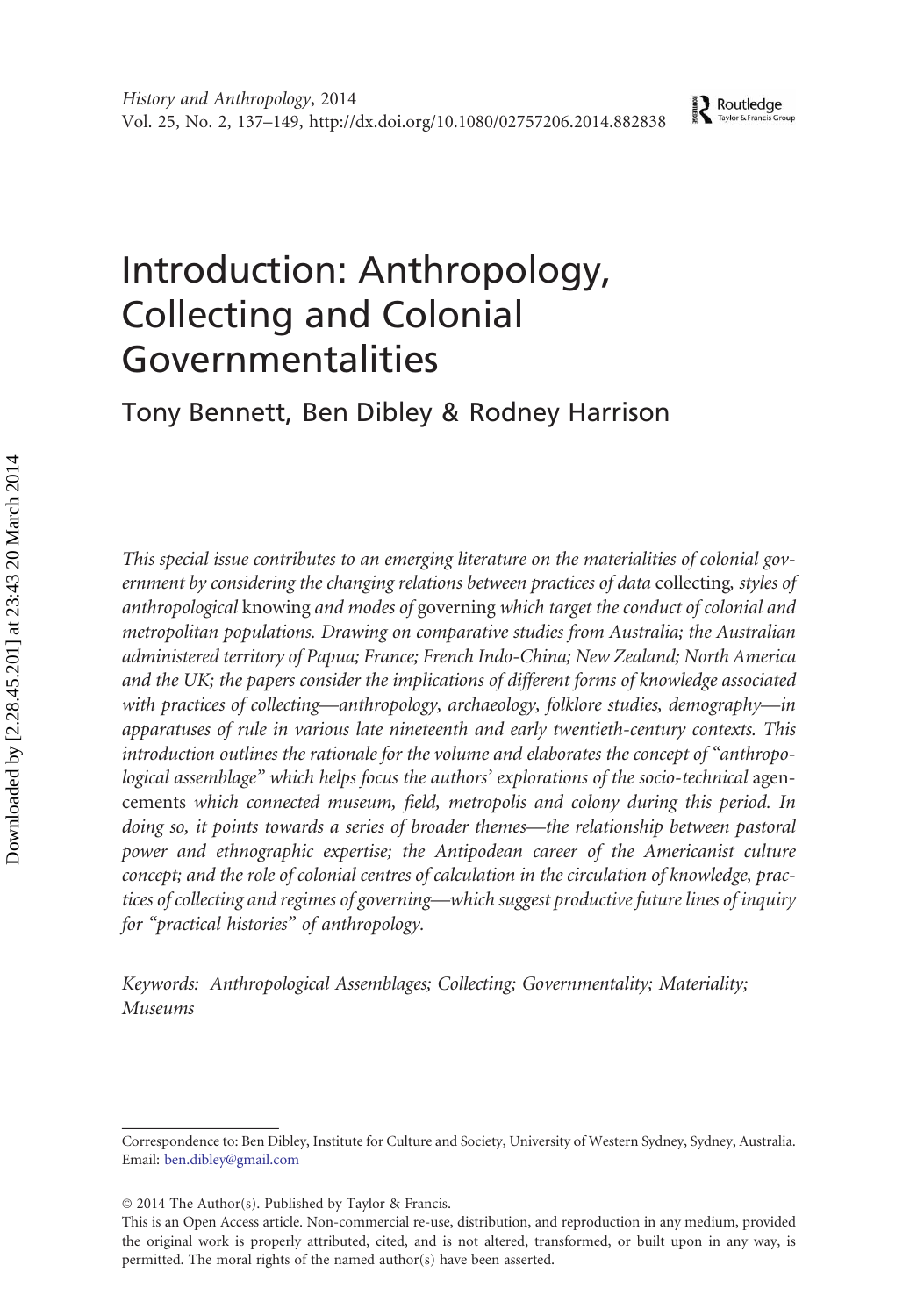Routledge Taylor & Francis Group

# Introduction: Anthropology, Collecting and Colonial Governmentalities

## Tony Bennett, Ben Dibley & Rodney Harrison

This special issue contributes to an emerging literature on the materialities of colonial government by considering the changing relations between practices of data collecting, styles of anthropological knowing and modes of governing which target the conduct of colonial and metropolitan populations. Drawing on comparative studies from Australia; the Australian administered territory of Papua; France; French Indo-China; New Zealand; North America and the UK; the papers consider the implications of different forms of knowledge associated with practices of collecting—anthropology, archaeology, folklore studies, demography—in apparatuses of rule in various late nineteenth and early twentieth-century contexts. This introduction outlines the rationale for the volume and elaborates the concept of "anthropological assemblage" which helps focus the authors' explorations of the socio-technical agencements which connected museum, field, metropolis and colony during this period. In doing so, it points towards a series of broader themes—the relationship between pastoral power and ethnographic expertise; the Antipodean career of the Americanist culture concept; and the role of colonial centres of calculation in the circulation of knowledge, practices of collecting and regimes of governing—which suggest productive future lines of inquiry for "practical histories" of anthropology.

Keywords: Anthropological Assemblages; Collecting; Governmentality; Materiality; Museums

Correspondence to: Ben Dibley, Institute for Culture and Society, University of Western Sydney, Sydney, Australia. Email: [ben.dibley@gmail.com](mailto:ben.dibley@gmail.com)

<sup>© 2014</sup> The Author(s). Published by Taylor & Francis.

This is an Open Access article. Non-commercial re-use, distribution, and reproduction in any medium, provided the original work is properly attributed, cited, and is not altered, transformed, or built upon in any way, is permitted. The moral rights of the named author(s) have been asserted.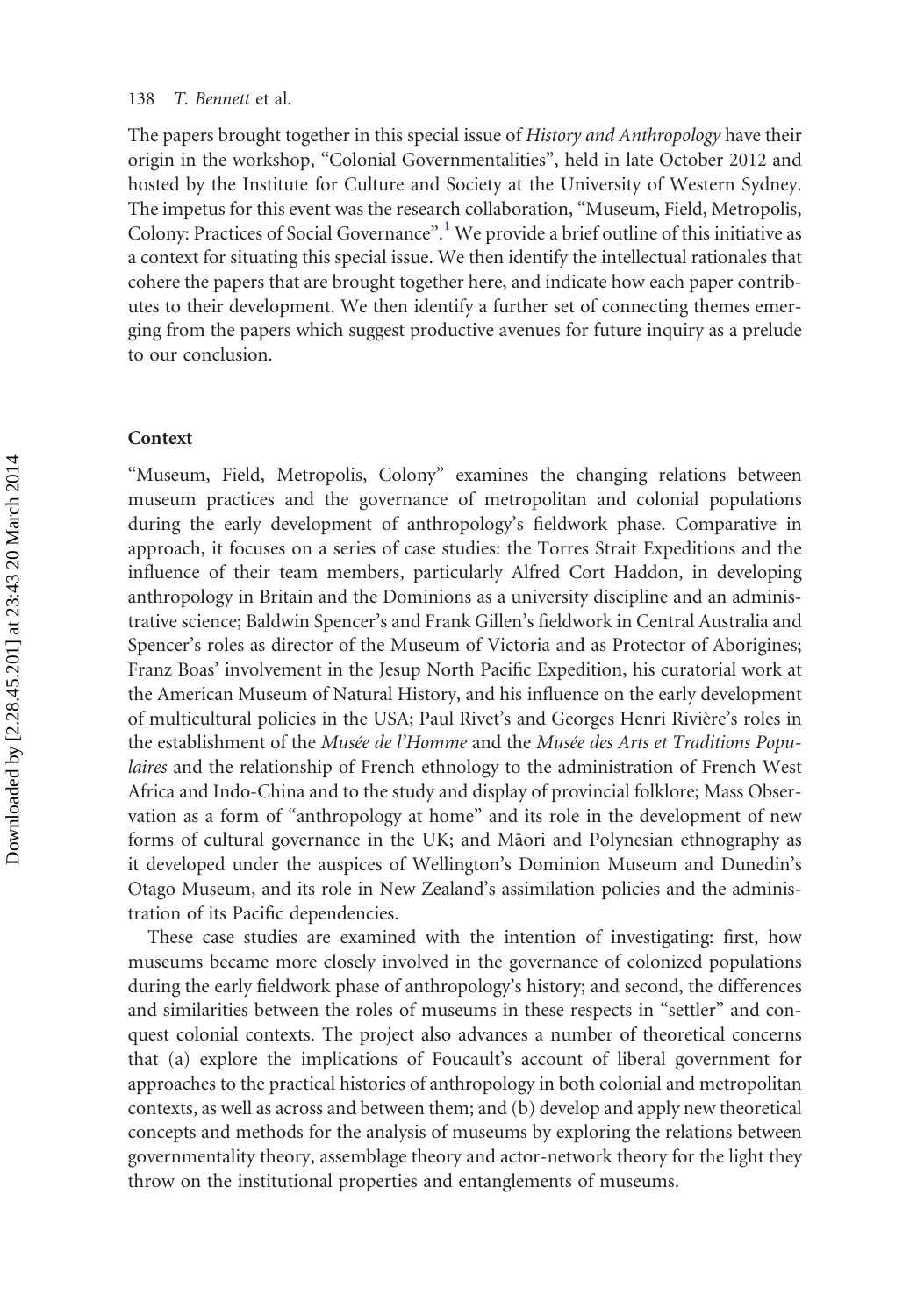The papers brought together in this special issue of History and Anthropology have their origin in the workshop, "Colonial Governmentalities", held in late October 2012 and hosted by the Institute for Culture and Society at the University of Western Sydney. The impetus for this event was the research collaboration, "Museum, Field, Metropolis, Colony: Practices of Social Governance". [1](#page-13-0) We provide a brief outline of this initiative as a context for situating this special issue. We then identify the intellectual rationales that cohere the papers that are brought together here, and indicate how each paper contributes to their development. We then identify a further set of connecting themes emerging from the papers which suggest productive avenues for future inquiry as a prelude to our conclusion.

#### **Context**

"Museum, Field, Metropolis, Colony" examines the changing relations between museum practices and the governance of metropolitan and colonial populations during the early development of anthropology's fieldwork phase. Comparative in approach, it focuses on a series of case studies: the Torres Strait Expeditions and the influence of their team members, particularly Alfred Cort Haddon, in developing anthropology in Britain and the Dominions as a university discipline and an administrative science; Baldwin Spencer's and Frank Gillen's fieldwork in Central Australia and Spencer's roles as director of the Museum of Victoria and as Protector of Aborigines; Franz Boas' involvement in the Jesup North Pacific Expedition, his curatorial work at the American Museum of Natural History, and his influence on the early development of multicultural policies in the USA; Paul Rivet's and Georges Henri Rivière's roles in the establishment of the Musée de l'Homme and the Musée des Arts et Traditions Populaires and the relationship of French ethnology to the administration of French West Africa and Indo-China and to the study and display of provincial folklore; Mass Observation as a form of "anthropology at home" and its role in the development of new forms of cultural governance in the UK; and Māori and Polynesian ethnography as it developed under the auspices of Wellington's Dominion Museum and Dunedin's Otago Museum, and its role in New Zealand's assimilation policies and the administration of its Pacific dependencies.

These case studies are examined with the intention of investigating: first, how museums became more closely involved in the governance of colonized populations during the early fieldwork phase of anthropology's history; and second, the differences and similarities between the roles of museums in these respects in "settler" and conquest colonial contexts. The project also advances a number of theoretical concerns that (a) explore the implications of Foucault's account of liberal government for approaches to the practical histories of anthropology in both colonial and metropolitan contexts, as well as across and between them; and (b) develop and apply new theoretical concepts and methods for the analysis of museums by exploring the relations between governmentality theory, assemblage theory and actor-network theory for the light they throw on the institutional properties and entanglements of museums.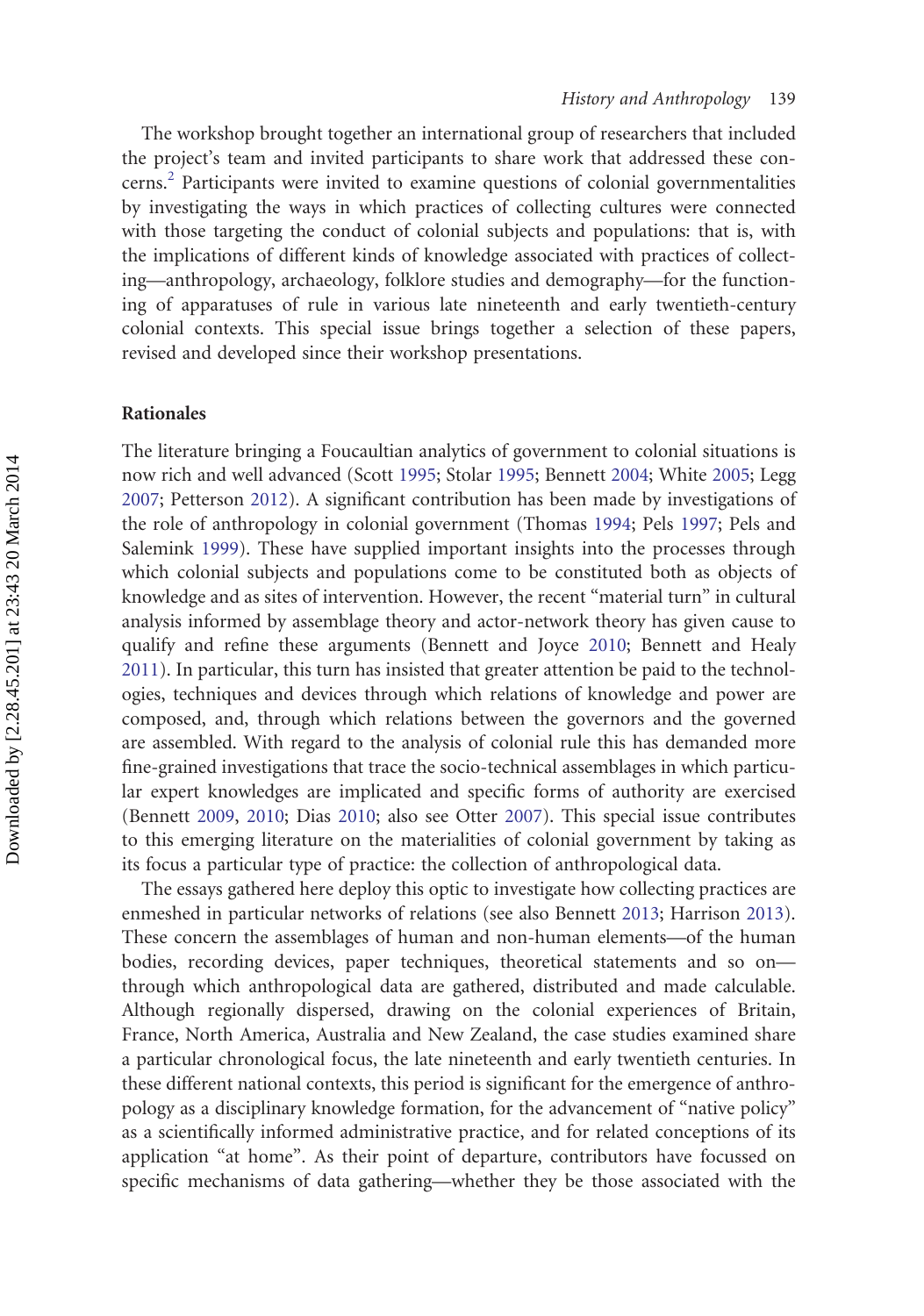The workshop brought together an international group of researchers that included the project's team and invited participants to share work that addressed these concerns.<sup>2</sup> Participants were invited to examine questions of colonial governmentalities by investigating the ways in which practices of collecting cultures were connected with those targeting the conduct of colonial subjects and populations: that is, with the implications of different kinds of knowledge associated with practices of collecting—anthropology, archaeology, folklore studies and demography—for the functioning of apparatuses of rule in various late nineteenth and early twentieth-century colonial contexts. This special issue brings together a selection of these papers, revised and developed since their workshop presentations.

#### Rationales

The literature bringing a Foucaultian analytics of government to colonial situations is now rich and well advanced (Scott [1995;](#page-14-0) Stolar [1995;](#page-14-0) Bennett [2004](#page-13-0); White [2005](#page-14-0); Legg [2007](#page-14-0); Petterson [2012\)](#page-14-0). A significant contribution has been made by investigations of the role of anthropology in colonial government (Thomas [1994](#page-14-0); Pels [1997](#page-14-0); Pels and Salemink [1999\)](#page-14-0). These have supplied important insights into the processes through which colonial subjects and populations come to be constituted both as objects of knowledge and as sites of intervention. However, the recent "material turn" in cultural analysis informed by assemblage theory and actor-network theory has given cause to qualify and refine these arguments (Bennett and Joyce [2010](#page-13-0); Bennett and Healy [2011](#page-13-0)). In particular, this turn has insisted that greater attention be paid to the technologies, techniques and devices through which relations of knowledge and power are composed, and, through which relations between the governors and the governed are assembled. With regard to the analysis of colonial rule this has demanded more fine-grained investigations that trace the socio-technical assemblages in which particular expert knowledges are implicated and specific forms of authority are exercised (Bennett [2009](#page-13-0), [2010;](#page-13-0) Dias [2010;](#page-14-0) also see Otter [2007\)](#page-14-0). This special issue contributes to this emerging literature on the materialities of colonial government by taking as its focus a particular type of practice: the collection of anthropological data.

The essays gathered here deploy this optic to investigate how collecting practices are enmeshed in particular networks of relations (see also Bennett [2013](#page-13-0); Harrison [2013\)](#page-14-0). These concern the assemblages of human and non-human elements—of the human bodies, recording devices, paper techniques, theoretical statements and so on through which anthropological data are gathered, distributed and made calculable. Although regionally dispersed, drawing on the colonial experiences of Britain, France, North America, Australia and New Zealand, the case studies examined share a particular chronological focus, the late nineteenth and early twentieth centuries. In these different national contexts, this period is significant for the emergence of anthropology as a disciplinary knowledge formation, for the advancement of "native policy" as a scientifically informed administrative practice, and for related conceptions of its application "at home". As their point of departure, contributors have focussed on specific mechanisms of data gathering—whether they be those associated with the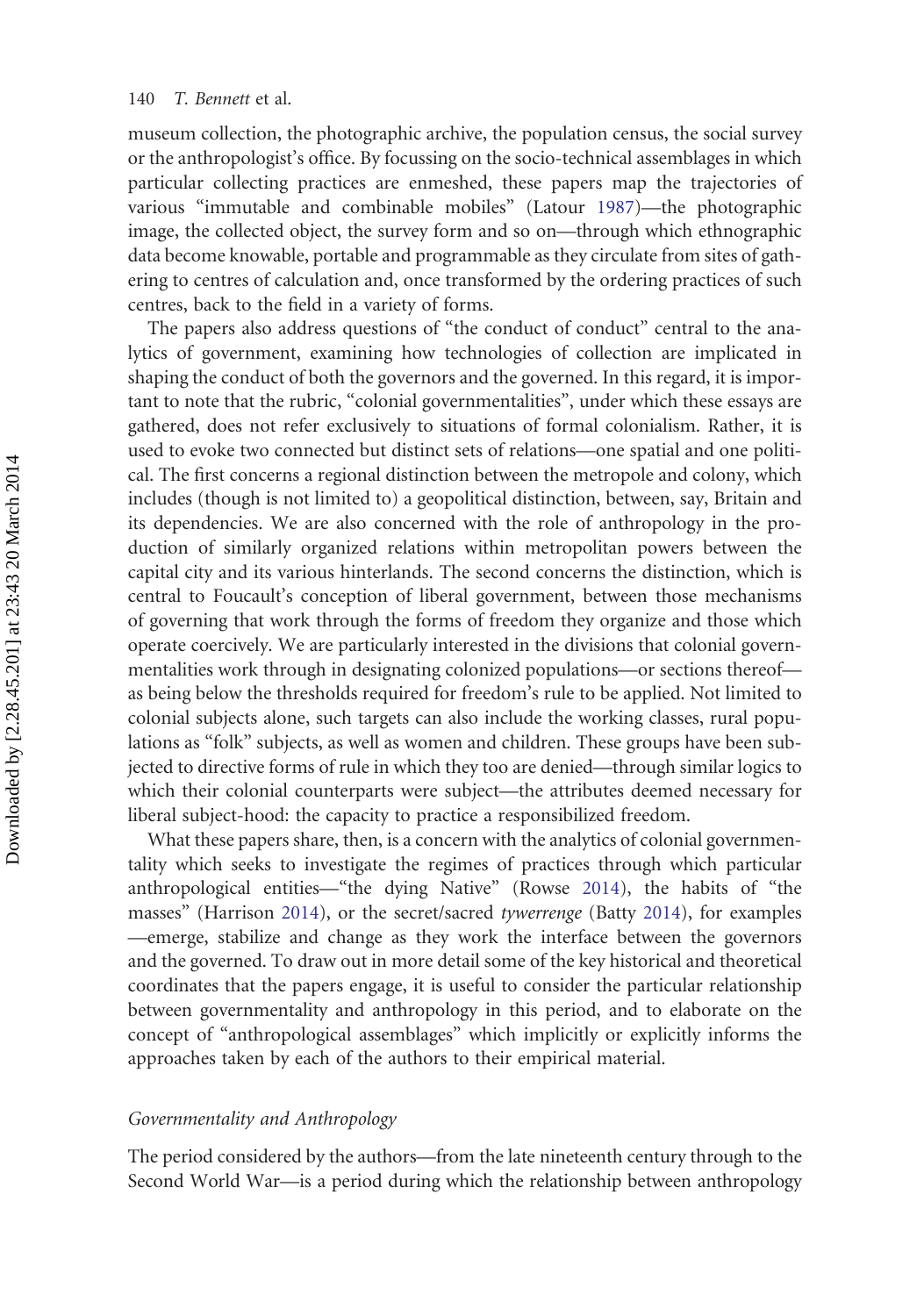museum collection, the photographic archive, the population census, the social survey or the anthropologist's office. By focussing on the socio-technical assemblages in which particular collecting practices are enmeshed, these papers map the trajectories of various "immutable and combinable mobiles" (Latour [1987\)](#page-14-0)—the photographic image, the collected object, the survey form and so on—through which ethnographic data become knowable, portable and programmable as they circulate from sites of gathering to centres of calculation and, once transformed by the ordering practices of such centres, back to the field in a variety of forms.

The papers also address questions of "the conduct of conduct" central to the analytics of government, examining how technologies of collection are implicated in shaping the conduct of both the governors and the governed. In this regard, it is important to note that the rubric, "colonial governmentalities", under which these essays are gathered, does not refer exclusively to situations of formal colonialism. Rather, it is used to evoke two connected but distinct sets of relations—one spatial and one political. The first concerns a regional distinction between the metropole and colony, which includes (though is not limited to) a geopolitical distinction, between, say, Britain and its dependencies. We are also concerned with the role of anthropology in the production of similarly organized relations within metropolitan powers between the capital city and its various hinterlands. The second concerns the distinction, which is central to Foucault's conception of liberal government, between those mechanisms of governing that work through the forms of freedom they organize and those which operate coercively. We are particularly interested in the divisions that colonial governmentalities work through in designating colonized populations—or sections thereof as being below the thresholds required for freedom's rule to be applied. Not limited to colonial subjects alone, such targets can also include the working classes, rural populations as "folk" subjects, as well as women and children. These groups have been subjected to directive forms of rule in which they too are denied—through similar logics to which their colonial counterparts were subject—the attributes deemed necessary for liberal subject-hood: the capacity to practice a responsibilized freedom.

What these papers share, then, is a concern with the analytics of colonial governmentality which seeks to investigate the regimes of practices through which particular anthropological entities—"the dying Native" (Rowse [2014](#page-14-0)), the habits of "the masses" (Harrison [2014](#page-14-0)), or the secret/sacred tywerrenge (Batty [2014\)](#page-13-0), for examples —emerge, stabilize and change as they work the interface between the governors and the governed. To draw out in more detail some of the key historical and theoretical coordinates that the papers engage, it is useful to consider the particular relationship between governmentality and anthropology in this period, and to elaborate on the concept of "anthropological assemblages" which implicitly or explicitly informs the approaches taken by each of the authors to their empirical material.

#### Governmentality and Anthropology

The period considered by the authors—from the late nineteenth century through to the Second World War—is a period during which the relationship between anthropology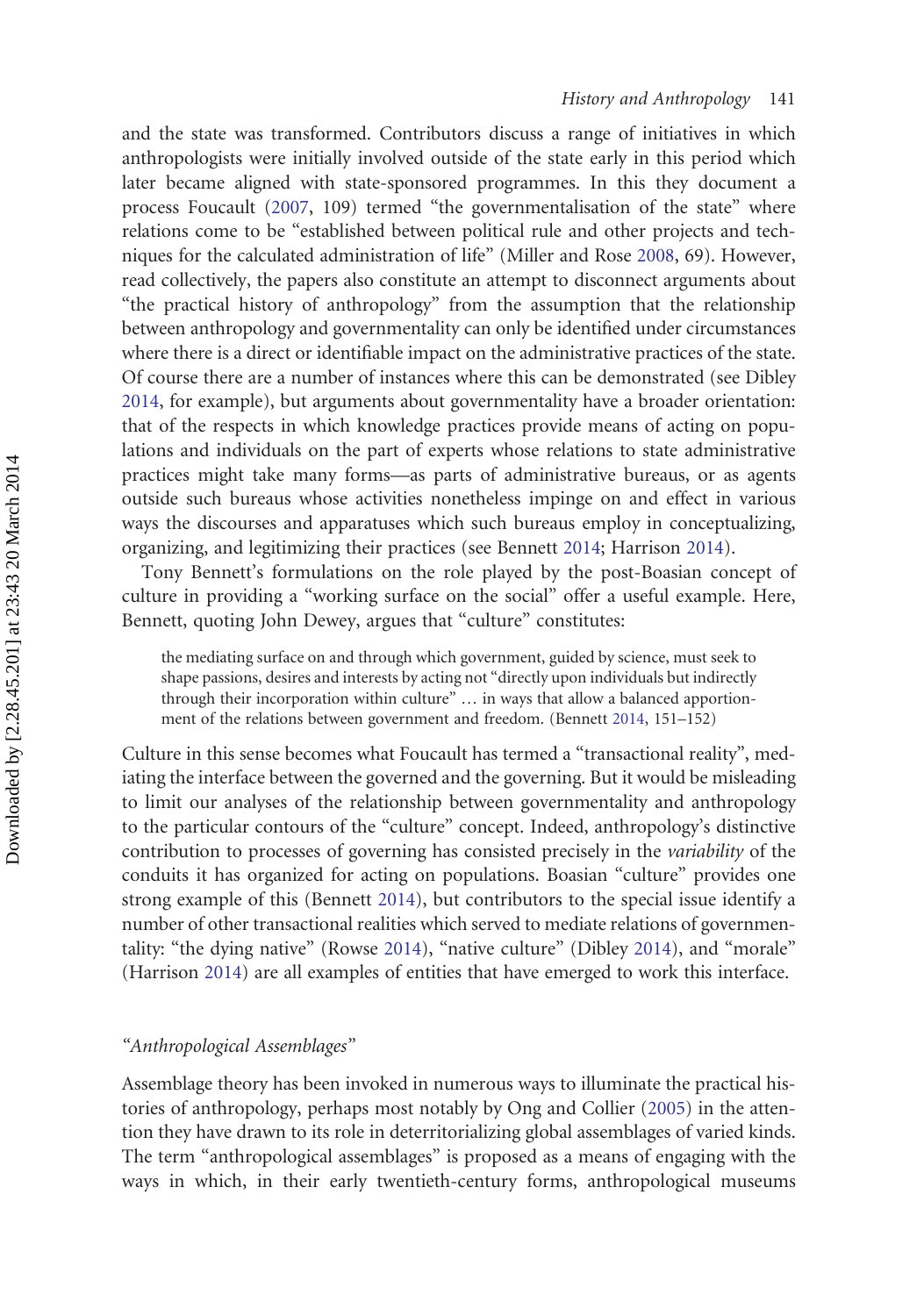and the state was transformed. Contributors discuss a range of initiatives in which anthropologists were initially involved outside of the state early in this period which later became aligned with state-sponsored programmes. In this they document a process Foucault ([2007,](#page-14-0) 109) termed "the governmentalisation of the state" where relations come to be "established between political rule and other projects and techniques for the calculated administration of life" (Miller and Rose [2008](#page-14-0), 69). However, read collectively, the papers also constitute an attempt to disconnect arguments about "the practical history of anthropology" from the assumption that the relationship between anthropology and governmentality can only be identified under circumstances where there is a direct or identifiable impact on the administrative practices of the state. Of course there are a number of instances where this can be demonstrated (see Dibley [2014,](#page-14-0) for example), but arguments about governmentality have a broader orientation: that of the respects in which knowledge practices provide means of acting on populations and individuals on the part of experts whose relations to state administrative practices might take many forms—as parts of administrative bureaus, or as agents outside such bureaus whose activities nonetheless impinge on and effect in various ways the discourses and apparatuses which such bureaus employ in conceptualizing, organizing, and legitimizing their practices (see Bennett [2014;](#page-13-0) Harrison [2014\)](#page-14-0).

Tony Bennett's formulations on the role played by the post-Boasian concept of culture in providing a "working surface on the social" offer a useful example. Here, Bennett, quoting John Dewey, argues that "culture" constitutes:

the mediating surface on and through which government, guided by science, must seek to shape passions, desires and interests by acting not "directly upon individuals but indirectly through their incorporation within culture" … in ways that allow a balanced apportionment of the relations between government and freedom. (Bennett [2014](#page-13-0), 151–152)

Culture in this sense becomes what Foucault has termed a "transactional reality", mediating the interface between the governed and the governing. But it would be misleading to limit our analyses of the relationship between governmentality and anthropology to the particular contours of the "culture" concept. Indeed, anthropology's distinctive contribution to processes of governing has consisted precisely in the variability of the conduits it has organized for acting on populations. Boasian "culture" provides one strong example of this (Bennett [2014\)](#page-13-0), but contributors to the special issue identify a number of other transactional realities which served to mediate relations of governmentality: "the dying native" (Rowse [2014](#page-14-0)), "native culture" (Dibley [2014\)](#page-14-0), and "morale" (Harrison [2014](#page-14-0)) are all examples of entities that have emerged to work this interface.

#### "Anthropological Assemblages"

Assemblage theory has been invoked in numerous ways to illuminate the practical histories of anthropology, perhaps most notably by Ong and Collier ([2005](#page-14-0)) in the attention they have drawn to its role in deterritorializing global assemblages of varied kinds. The term "anthropological assemblages" is proposed as a means of engaging with the ways in which, in their early twentieth-century forms, anthropological museums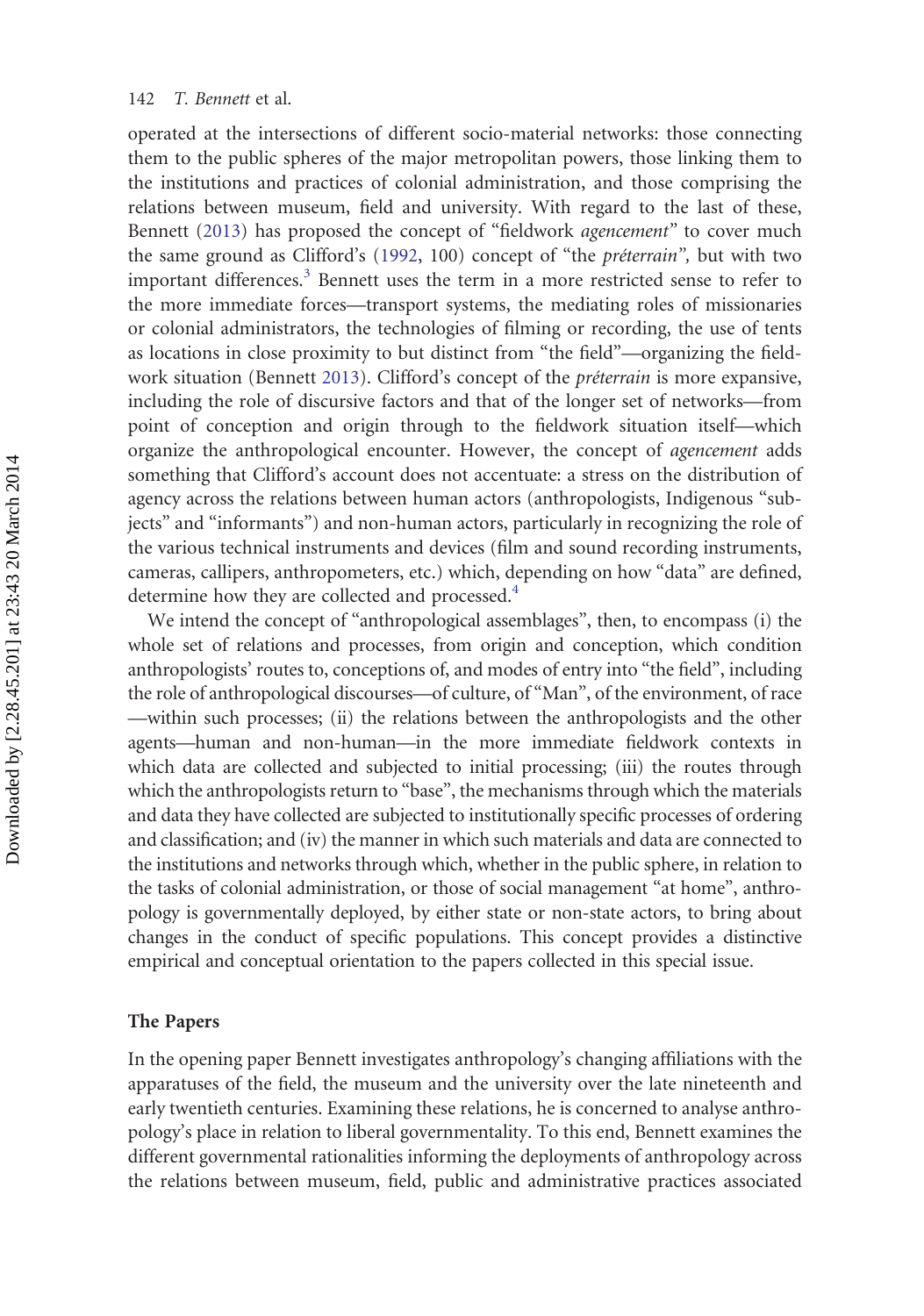operated at the intersections of different socio-material networks: those connecting them to the public spheres of the major metropolitan powers, those linking them to the institutions and practices of colonial administration, and those comprising the relations between museum, field and university. With regard to the last of these, Bennett [\(2013\)](#page-13-0) has proposed the concept of "fieldwork agencement" to cover much the same ground as Clifford's ([1992](#page-13-0), 100) concept of "the préterrain", but with two important differences.<sup>[3](#page-13-0)</sup> Bennett uses the term in a more restricted sense to refer to the more immediate forces—transport systems, the mediating roles of missionaries or colonial administrators, the technologies of filming or recording, the use of tents as locations in close proximity to but distinct from "the field"—organizing the fieldwork situation (Bennett [2013](#page-13-0)). Clifford's concept of the préterrain is more expansive, including the role of discursive factors and that of the longer set of networks—from point of conception and origin through to the fieldwork situation itself—which organize the anthropological encounter. However, the concept of agencement adds something that Clifford's account does not accentuate: a stress on the distribution of agency across the relations between human actors (anthropologists, Indigenous "subjects" and "informants") and non-human actors, particularly in recognizing the role of the various technical instruments and devices (film and sound recording instruments, cameras, callipers, anthropometers, etc.) which, depending on how "data" are defined, determine how they are collected and processed.<sup>[4](#page-13-0)</sup>

We intend the concept of "anthropological assemblages", then, to encompass (i) the whole set of relations and processes, from origin and conception, which condition anthropologists' routes to, conceptions of, and modes of entry into "the field", including the role of anthropological discourses—of culture, of "Man", of the environment, of race —within such processes; (ii) the relations between the anthropologists and the other agents—human and non-human—in the more immediate fieldwork contexts in which data are collected and subjected to initial processing; (iii) the routes through which the anthropologists return to "base", the mechanisms through which the materials and data they have collected are subjected to institutionally specific processes of ordering and classification; and (iv) the manner in which such materials and data are connected to the institutions and networks through which, whether in the public sphere, in relation to the tasks of colonial administration, or those of social management "at home", anthropology is governmentally deployed, by either state or non-state actors, to bring about changes in the conduct of specific populations. This concept provides a distinctive empirical and conceptual orientation to the papers collected in this special issue.

#### The Papers

In the opening paper Bennett investigates anthropology's changing affiliations with the apparatuses of the field, the museum and the university over the late nineteenth and early twentieth centuries. Examining these relations, he is concerned to analyse anthropology's place in relation to liberal governmentality. To this end, Bennett examines the different governmental rationalities informing the deployments of anthropology across the relations between museum, field, public and administrative practices associated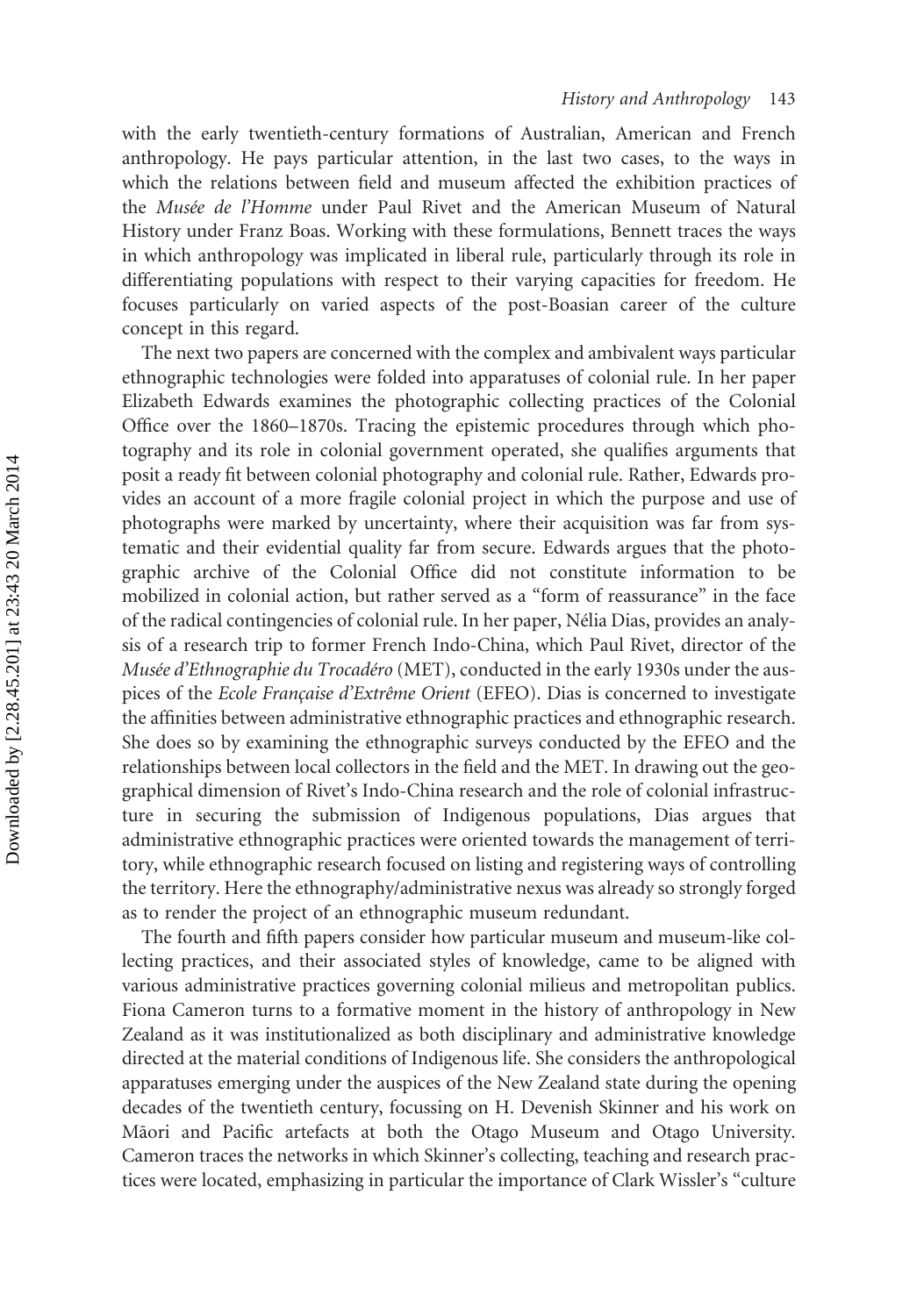with the early twentieth-century formations of Australian, American and French anthropology. He pays particular attention, in the last two cases, to the ways in which the relations between field and museum affected the exhibition practices of the Musée de l'Homme under Paul Rivet and the American Museum of Natural History under Franz Boas. Working with these formulations, Bennett traces the ways in which anthropology was implicated in liberal rule, particularly through its role in differentiating populations with respect to their varying capacities for freedom. He focuses particularly on varied aspects of the post-Boasian career of the culture concept in this regard.

The next two papers are concerned with the complex and ambivalent ways particular ethnographic technologies were folded into apparatuses of colonial rule. In her paper Elizabeth Edwards examines the photographic collecting practices of the Colonial Office over the 1860–1870s. Tracing the epistemic procedures through which photography and its role in colonial government operated, she qualifies arguments that posit a ready fit between colonial photography and colonial rule. Rather, Edwards provides an account of a more fragile colonial project in which the purpose and use of photographs were marked by uncertainty, where their acquisition was far from systematic and their evidential quality far from secure. Edwards argues that the photographic archive of the Colonial Office did not constitute information to be mobilized in colonial action, but rather served as a "form of reassurance" in the face of the radical contingencies of colonial rule. In her paper, Nélia Dias, provides an analysis of a research trip to former French Indo-China, which Paul Rivet, director of the Musée d'Ethnographie du Trocadéro (MET), conducted in the early 1930s under the auspices of the Ecole Française d'Extrême Orient (EFEO). Dias is concerned to investigate the affinities between administrative ethnographic practices and ethnographic research. She does so by examining the ethnographic surveys conducted by the EFEO and the relationships between local collectors in the field and the MET. In drawing out the geographical dimension of Rivet's Indo-China research and the role of colonial infrastructure in securing the submission of Indigenous populations, Dias argues that administrative ethnographic practices were oriented towards the management of territory, while ethnographic research focused on listing and registering ways of controlling the territory. Here the ethnography/administrative nexus was already so strongly forged as to render the project of an ethnographic museum redundant.

The fourth and fifth papers consider how particular museum and museum-like collecting practices, and their associated styles of knowledge, came to be aligned with various administrative practices governing colonial milieus and metropolitan publics. Fiona Cameron turns to a formative moment in the history of anthropology in New Zealand as it was institutionalized as both disciplinary and administrative knowledge directed at the material conditions of Indigenous life. She considers the anthropological apparatuses emerging under the auspices of the New Zealand state during the opening decades of the twentieth century, focussing on H. Devenish Skinner and his work on Māori and Pacific artefacts at both the Otago Museum and Otago University. Cameron traces the networks in which Skinner's collecting, teaching and research practices were located, emphasizing in particular the importance of Clark Wissler's "culture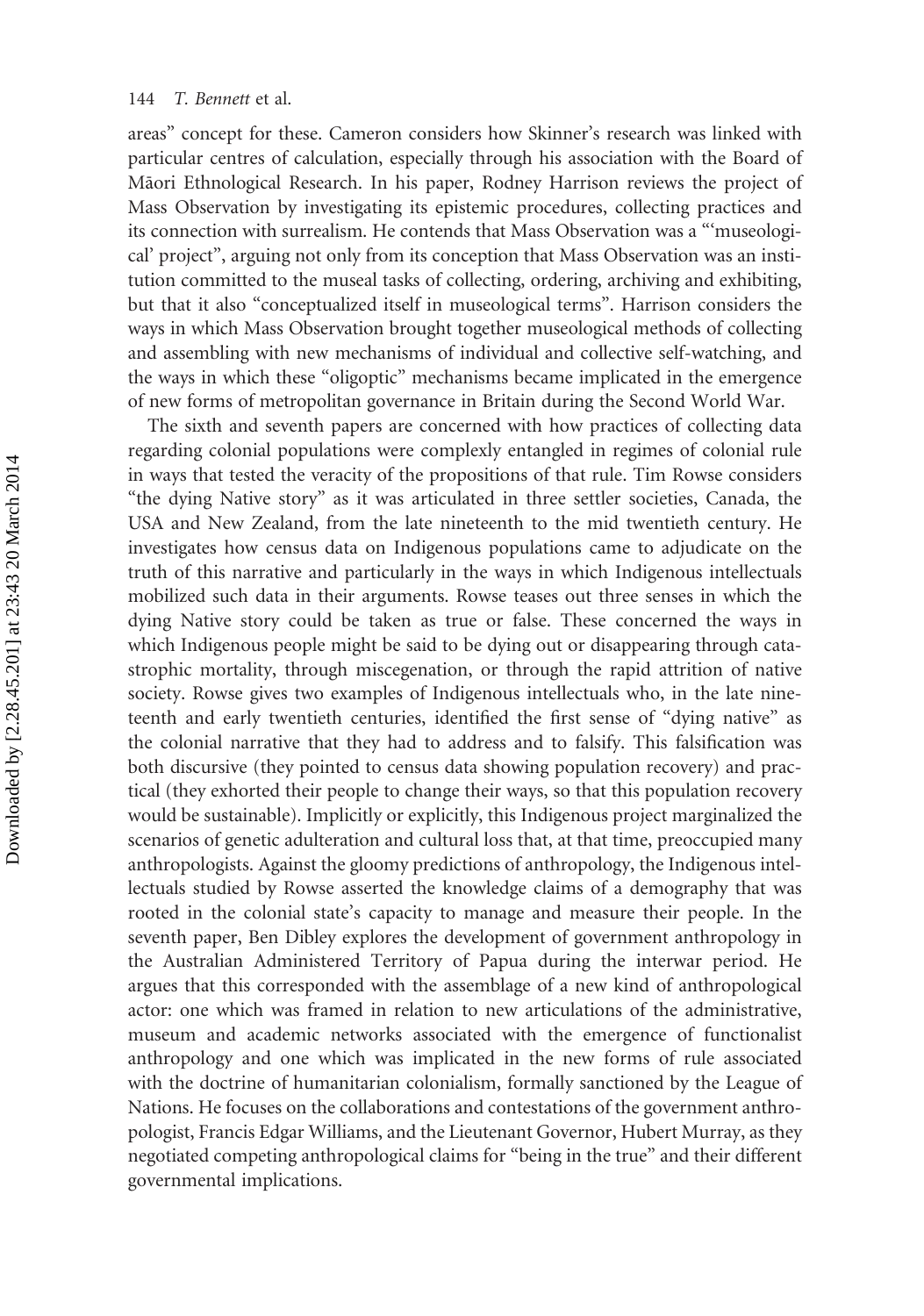areas" concept for these. Cameron considers how Skinner's research was linked with particular centres of calculation, especially through his association with the Board of Māori Ethnological Research. In his paper, Rodney Harrison reviews the project of Mass Observation by investigating its epistemic procedures, collecting practices and its connection with surrealism. He contends that Mass Observation was a "'museological' project", arguing not only from its conception that Mass Observation was an institution committed to the museal tasks of collecting, ordering, archiving and exhibiting, but that it also "conceptualized itself in museological terms". Harrison considers the ways in which Mass Observation brought together museological methods of collecting and assembling with new mechanisms of individual and collective self-watching, and the ways in which these "oligoptic" mechanisms became implicated in the emergence of new forms of metropolitan governance in Britain during the Second World War.

The sixth and seventh papers are concerned with how practices of collecting data regarding colonial populations were complexly entangled in regimes of colonial rule in ways that tested the veracity of the propositions of that rule. Tim Rowse considers "the dying Native story" as it was articulated in three settler societies, Canada, the USA and New Zealand, from the late nineteenth to the mid twentieth century. He investigates how census data on Indigenous populations came to adjudicate on the truth of this narrative and particularly in the ways in which Indigenous intellectuals mobilized such data in their arguments. Rowse teases out three senses in which the dying Native story could be taken as true or false. These concerned the ways in which Indigenous people might be said to be dying out or disappearing through catastrophic mortality, through miscegenation, or through the rapid attrition of native society. Rowse gives two examples of Indigenous intellectuals who, in the late nineteenth and early twentieth centuries, identified the first sense of "dying native" as the colonial narrative that they had to address and to falsify. This falsification was both discursive (they pointed to census data showing population recovery) and practical (they exhorted their people to change their ways, so that this population recovery would be sustainable). Implicitly or explicitly, this Indigenous project marginalized the scenarios of genetic adulteration and cultural loss that, at that time, preoccupied many anthropologists. Against the gloomy predictions of anthropology, the Indigenous intellectuals studied by Rowse asserted the knowledge claims of a demography that was rooted in the colonial state's capacity to manage and measure their people. In the seventh paper, Ben Dibley explores the development of government anthropology in the Australian Administered Territory of Papua during the interwar period. He argues that this corresponded with the assemblage of a new kind of anthropological actor: one which was framed in relation to new articulations of the administrative, museum and academic networks associated with the emergence of functionalist anthropology and one which was implicated in the new forms of rule associated with the doctrine of humanitarian colonialism, formally sanctioned by the League of Nations. He focuses on the collaborations and contestations of the government anthropologist, Francis Edgar Williams, and the Lieutenant Governor, Hubert Murray, as they negotiated competing anthropological claims for "being in the true" and their different governmental implications.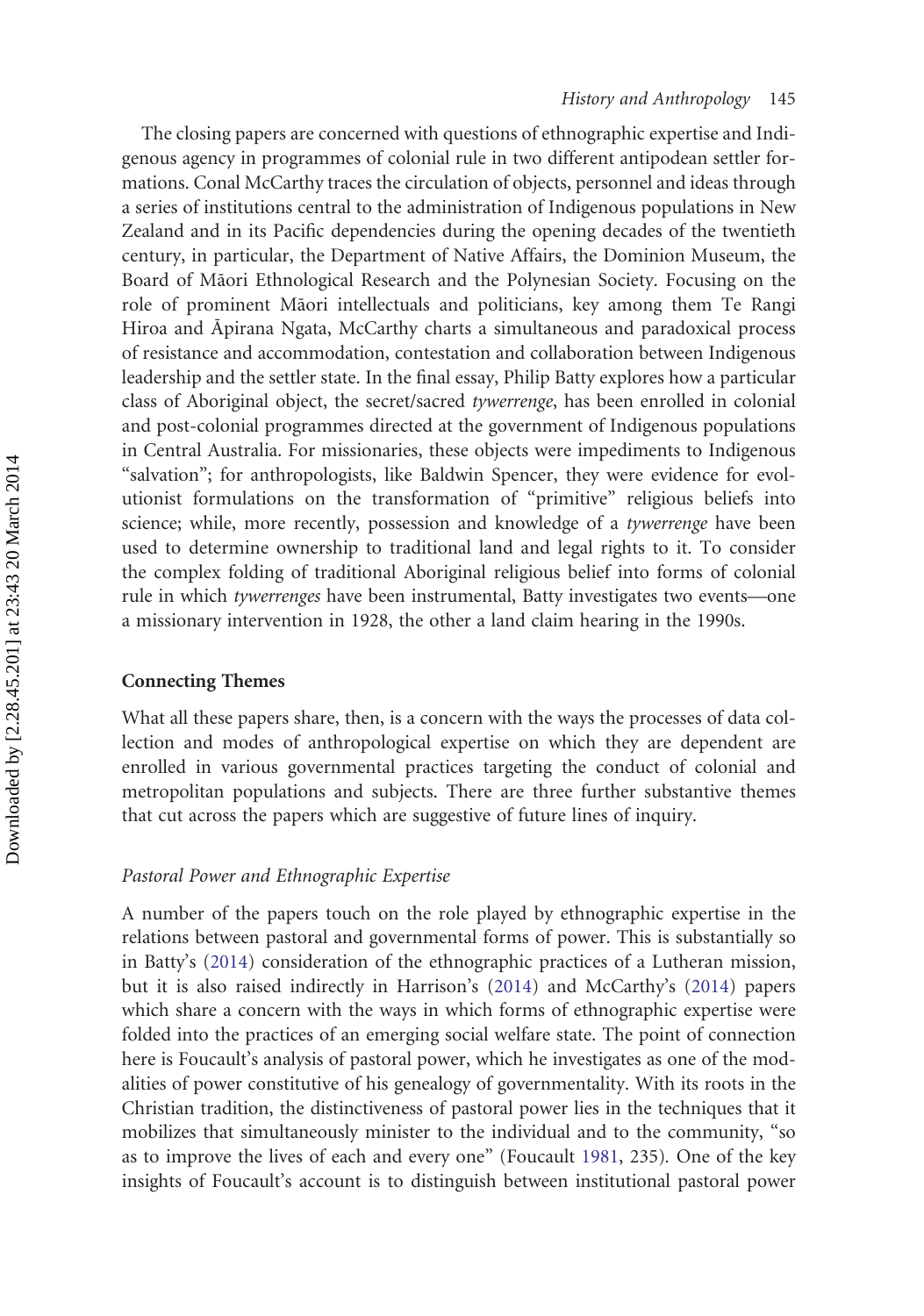The closing papers are concerned with questions of ethnographic expertise and Indigenous agency in programmes of colonial rule in two different antipodean settler formations. Conal McCarthy traces the circulation of objects, personnel and ideas through a series of institutions central to the administration of Indigenous populations in New Zealand and in its Pacific dependencies during the opening decades of the twentieth century, in particular, the Department of Native Affairs, the Dominion Museum, the Board of Māori Ethnological Research and the Polynesian Society. Focusing on the role of prominent Māori intellectuals and politicians, key among them Te Rangi Hiroa and Āpirana Ngata, McCarthy charts a simultaneous and paradoxical process of resistance and accommodation, contestation and collaboration between Indigenous leadership and the settler state. In the final essay, Philip Batty explores how a particular class of Aboriginal object, the secret/sacred tywerrenge, has been enrolled in colonial and post-colonial programmes directed at the government of Indigenous populations in Central Australia. For missionaries, these objects were impediments to Indigenous "salvation"; for anthropologists, like Baldwin Spencer, they were evidence for evolutionist formulations on the transformation of "primitive" religious beliefs into science; while, more recently, possession and knowledge of a tywerrenge have been used to determine ownership to traditional land and legal rights to it. To consider the complex folding of traditional Aboriginal religious belief into forms of colonial rule in which tywerrenges have been instrumental, Batty investigates two events—one a missionary intervention in 1928, the other a land claim hearing in the 1990s.

#### Connecting Themes

What all these papers share, then, is a concern with the ways the processes of data collection and modes of anthropological expertise on which they are dependent are enrolled in various governmental practices targeting the conduct of colonial and metropolitan populations and subjects. There are three further substantive themes that cut across the papers which are suggestive of future lines of inquiry.

#### Pastoral Power and Ethnographic Expertise

A number of the papers touch on the role played by ethnographic expertise in the relations between pastoral and governmental forms of power. This is substantially so in Batty's [\(2014](#page-13-0)) consideration of the ethnographic practices of a Lutheran mission, but it is also raised indirectly in Harrison's ([2014](#page-14-0)) and McCarthy's [\(2014](#page-14-0)) papers which share a concern with the ways in which forms of ethnographic expertise were folded into the practices of an emerging social welfare state. The point of connection here is Foucault's analysis of pastoral power, which he investigates as one of the modalities of power constitutive of his genealogy of governmentality. With its roots in the Christian tradition, the distinctiveness of pastoral power lies in the techniques that it mobilizes that simultaneously minister to the individual and to the community, "so as to improve the lives of each and every one" (Foucault [1981,](#page-14-0) 235). One of the key insights of Foucault's account is to distinguish between institutional pastoral power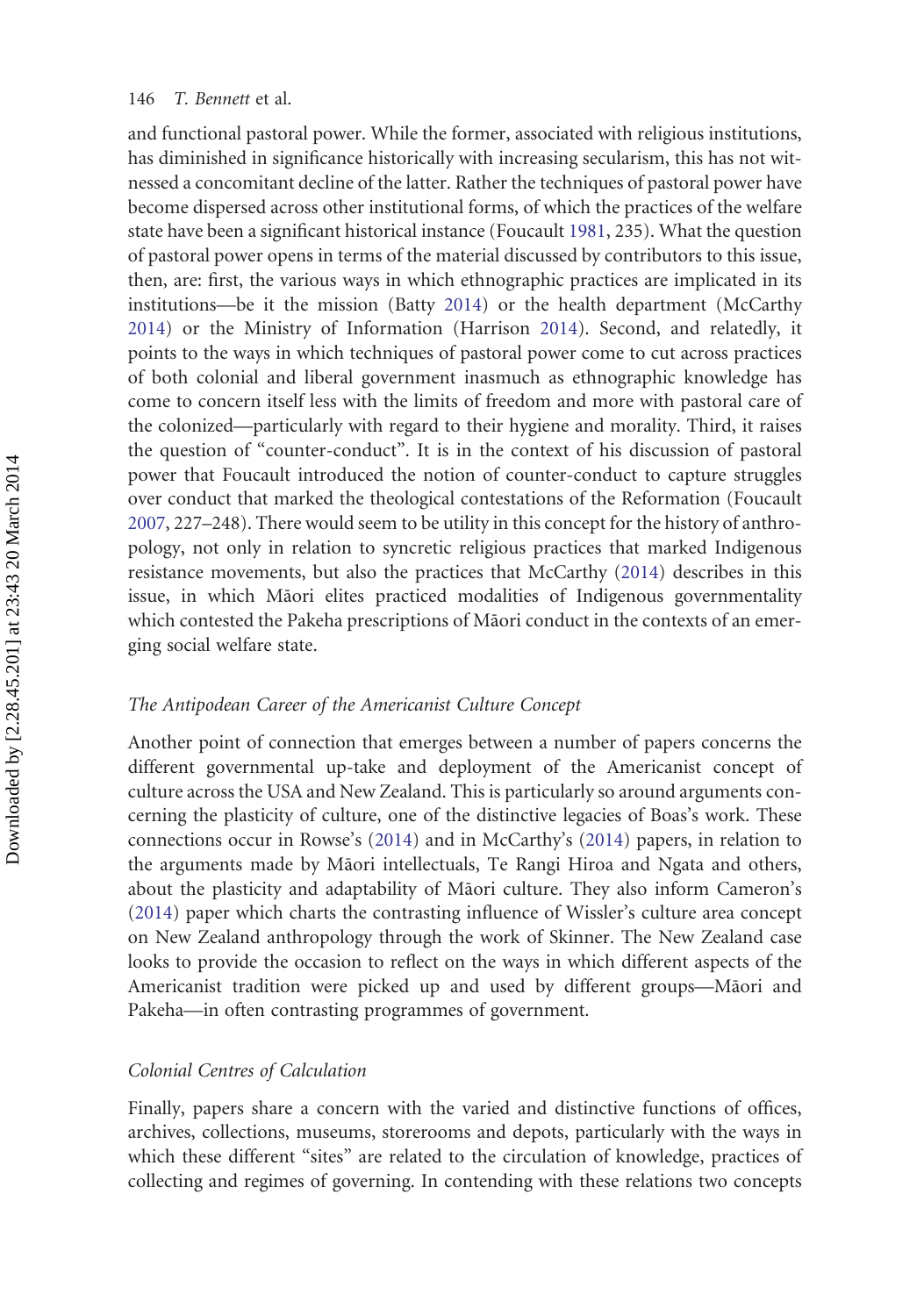and functional pastoral power. While the former, associated with religious institutions, has diminished in significance historically with increasing secularism, this has not witnessed a concomitant decline of the latter. Rather the techniques of pastoral power have become dispersed across other institutional forms, of which the practices of the welfare state have been a significant historical instance (Foucault [1981,](#page-14-0) 235). What the question of pastoral power opens in terms of the material discussed by contributors to this issue, then, are: first, the various ways in which ethnographic practices are implicated in its institutions—be it the mission (Batty [2014](#page-13-0)) or the health department (McCarthy [2014](#page-14-0)) or the Ministry of Information (Harrison [2014\)](#page-14-0). Second, and relatedly, it points to the ways in which techniques of pastoral power come to cut across practices of both colonial and liberal government inasmuch as ethnographic knowledge has come to concern itself less with the limits of freedom and more with pastoral care of the colonized—particularly with regard to their hygiene and morality. Third, it raises the question of "counter-conduct". It is in the context of his discussion of pastoral power that Foucault introduced the notion of counter-conduct to capture struggles over conduct that marked the theological contestations of the Reformation (Foucault [2007](#page-14-0), 227–248). There would seem to be utility in this concept for the history of anthropology, not only in relation to syncretic religious practices that marked Indigenous resistance movements, but also the practices that McCarthy ([2014\)](#page-14-0) describes in this issue, in which Māori elites practiced modalities of Indigenous governmentality which contested the Pakeha prescriptions of Māori conduct in the contexts of an emerging social welfare state.

#### The Antipodean Career of the Americanist Culture Concept

Another point of connection that emerges between a number of papers concerns the different governmental up-take and deployment of the Americanist concept of culture across the USA and New Zealand. This is particularly so around arguments concerning the plasticity of culture, one of the distinctive legacies of Boas's work. These connections occur in Rowse's [\(2014](#page-14-0)) and in McCarthy's ([2014\)](#page-14-0) papers, in relation to the arguments made by Māori intellectuals, Te Rangi Hiroa and Ngata and others, about the plasticity and adaptability of Māori culture. They also inform Cameron's [\(2014](#page-13-0)) paper which charts the contrasting influence of Wissler's culture area concept on New Zealand anthropology through the work of Skinner. The New Zealand case looks to provide the occasion to reflect on the ways in which different aspects of the Americanist tradition were picked up and used by different groups—Māori and Pakeha—in often contrasting programmes of government.

#### Colonial Centres of Calculation

Finally, papers share a concern with the varied and distinctive functions of offices, archives, collections, museums, storerooms and depots, particularly with the ways in which these different "sites" are related to the circulation of knowledge, practices of collecting and regimes of governing. In contending with these relations two concepts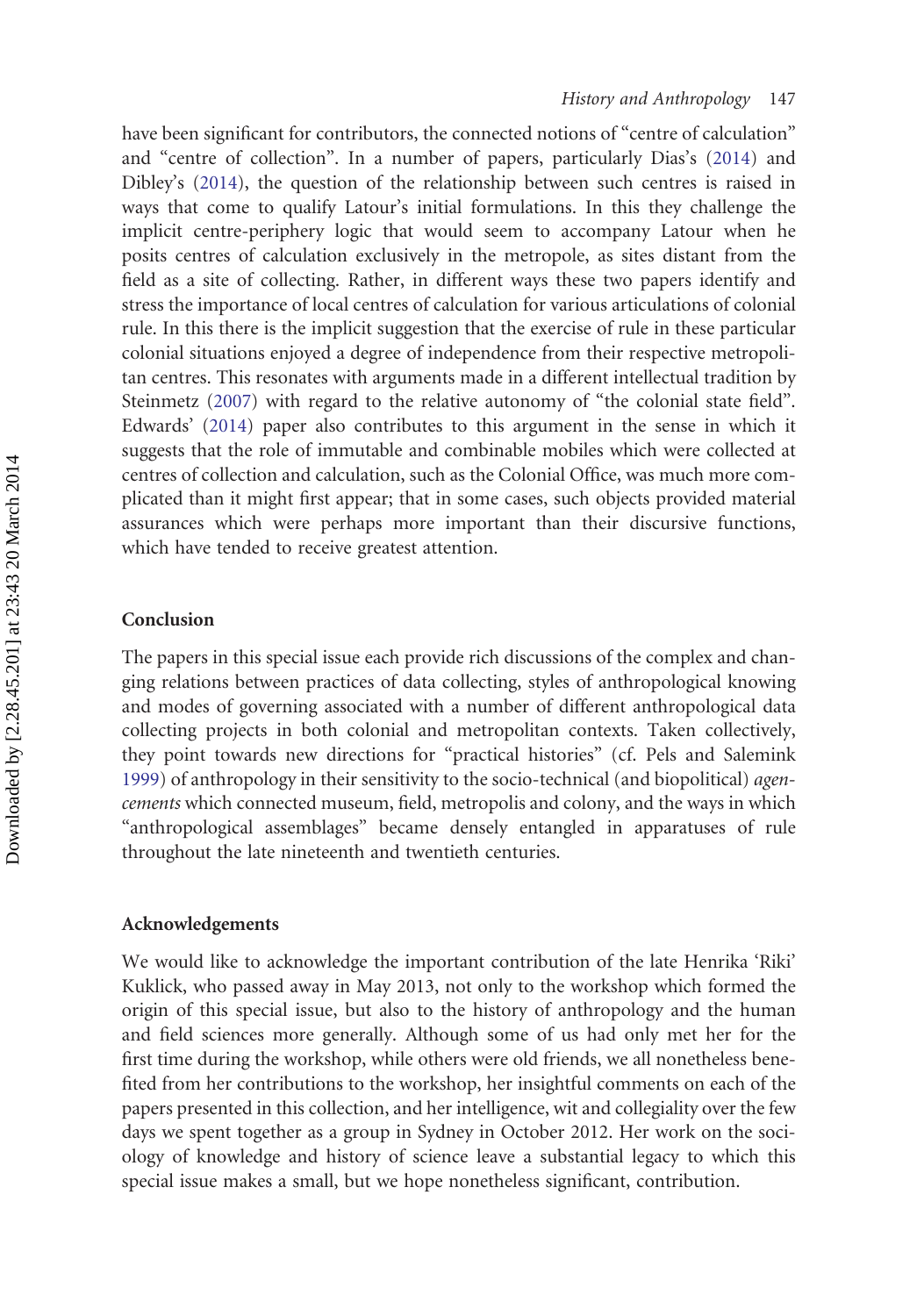have been significant for contributors, the connected notions of "centre of calculation" and "centre of collection". In a number of papers, particularly Dias's ([2014\)](#page-14-0) and Dibley's ([2014\)](#page-14-0), the question of the relationship between such centres is raised in ways that come to qualify Latour's initial formulations. In this they challenge the implicit centre-periphery logic that would seem to accompany Latour when he posits centres of calculation exclusively in the metropole, as sites distant from the field as a site of collecting. Rather, in different ways these two papers identify and stress the importance of local centres of calculation for various articulations of colonial rule. In this there is the implicit suggestion that the exercise of rule in these particular colonial situations enjoyed a degree of independence from their respective metropolitan centres. This resonates with arguments made in a different intellectual tradition by Steinmetz [\(2007](#page-14-0)) with regard to the relative autonomy of "the colonial state field". Edwards' ([2014\)](#page-14-0) paper also contributes to this argument in the sense in which it suggests that the role of immutable and combinable mobiles which were collected at centres of collection and calculation, such as the Colonial Office, was much more complicated than it might first appear; that in some cases, such objects provided material assurances which were perhaps more important than their discursive functions, which have tended to receive greatest attention.

#### Conclusion

The papers in this special issue each provide rich discussions of the complex and changing relations between practices of data collecting, styles of anthropological knowing and modes of governing associated with a number of different anthropological data collecting projects in both colonial and metropolitan contexts. Taken collectively, they point towards new directions for "practical histories" (cf. Pels and Salemink [1999](#page-14-0)) of anthropology in their sensitivity to the socio-technical (and biopolitical) *agen*cements which connected museum, field, metropolis and colony, and the ways in which "anthropological assemblages" became densely entangled in apparatuses of rule throughout the late nineteenth and twentieth centuries.

#### Acknowledgements

We would like to acknowledge the important contribution of the late Henrika 'Riki' Kuklick, who passed away in May 2013, not only to the workshop which formed the origin of this special issue, but also to the history of anthropology and the human and field sciences more generally. Although some of us had only met her for the first time during the workshop, while others were old friends, we all nonetheless benefited from her contributions to the workshop, her insightful comments on each of the papers presented in this collection, and her intelligence, wit and collegiality over the few days we spent together as a group in Sydney in October 2012. Her work on the sociology of knowledge and history of science leave a substantial legacy to which this special issue makes a small, but we hope nonetheless significant, contribution.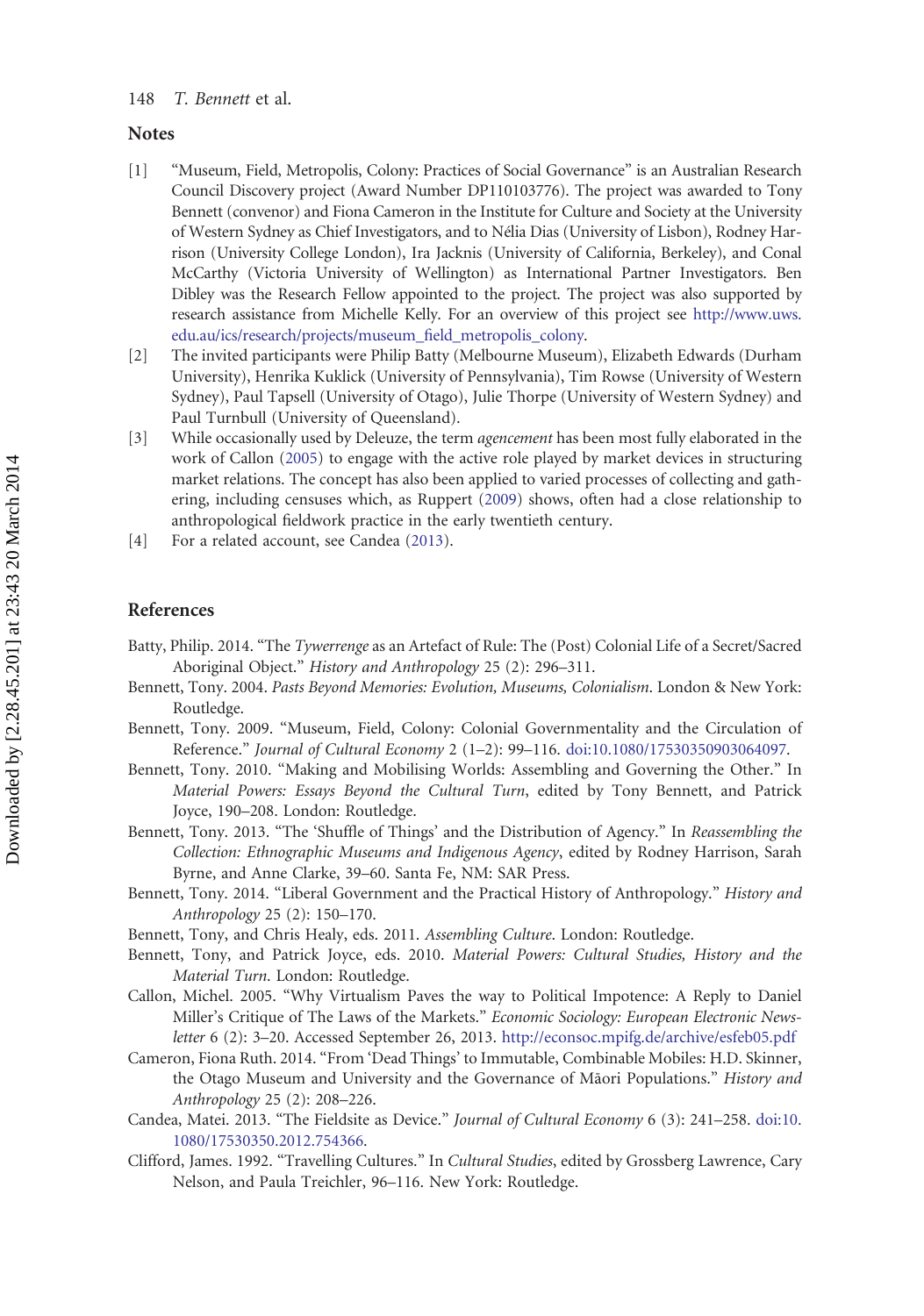<span id="page-13-0"></span>148 T. Bennett et al.

#### **Notes**

- [1] "Museum, Field, Metropolis, Colony: Practices of Social Governance" is an Australian Research Council Discovery project (Award Number DP110103776). The project was awarded to Tony Bennett (convenor) and Fiona Cameron in the Institute for Culture and Society at the University of Western Sydney as Chief Investigators, and to Nélia Dias (University of Lisbon), Rodney Harrison (University College London), Ira Jacknis (University of California, Berkeley), and Conal McCarthy (Victoria University of Wellington) as International Partner Investigators. Ben Dibley was the Research Fellow appointed to the project. The project was also supported by research assistance from Michelle Kelly. For an overview of this project see [http://www.uws.](http://www.uws.edu.au/ics/research/projects/museum_field_metropolis_colony) [edu.au/ics/research/projects/museum\\_](http://www.uws.edu.au/ics/research/projects/museum_field_metropolis_colony)field\_metropolis\_colony.
- [2] The invited participants were Philip Batty (Melbourne Museum), Elizabeth Edwards (Durham University), Henrika Kuklick (University of Pennsylvania), Tim Rowse (University of Western Sydney), Paul Tapsell (University of Otago), Julie Thorpe (University of Western Sydney) and Paul Turnbull (University of Queensland).
- [3] While occasionally used by Deleuze, the term *agencement* has been most fully elaborated in the work of Callon (2005) to engage with the active role played by market devices in structuring market relations. The concept has also been applied to varied processes of collecting and gathering, including censuses which, as Ruppert ([2009\)](#page-14-0) shows, often had a close relationship to anthropological fieldwork practice in the early twentieth century.
- [4] For a related account, see Candea (2013).

#### References

- Batty, Philip. 2014. "The Tywerrenge as an Artefact of Rule: The (Post) Colonial Life of a Secret/Sacred Aboriginal Object." History and Anthropology 25 (2): 296–311.
- Bennett, Tony. 2004. Pasts Beyond Memories: Evolution, Museums, Colonialism. London & New York: Routledge.
- Bennett, Tony. 2009. "Museum, Field, Colony: Colonial Governmentality and the Circulation of Reference." Journal of Cultural Economy 2 (1–2): 99–116. [doi:10.1080/17530350903064097](http://dx.doi.org/10.1080/17530350903064097).
- Bennett, Tony. 2010. "Making and Mobilising Worlds: Assembling and Governing the Other." In Material Powers: Essays Beyond the Cultural Turn, edited by Tony Bennett, and Patrick Joyce, 190–208. London: Routledge.
- Bennett, Tony. 2013. "The 'Shuffle of Things' and the Distribution of Agency." In Reassembling the Collection: Ethnographic Museums and Indigenous Agency, edited by Rodney Harrison, Sarah Byrne, and Anne Clarke, 39–60. Santa Fe, NM: SAR Press.
- Bennett, Tony. 2014. "Liberal Government and the Practical History of Anthropology." History and Anthropology 25 (2): 150–170.
- Bennett, Tony, and Chris Healy, eds. 2011. Assembling Culture. London: Routledge.
- Bennett, Tony, and Patrick Joyce, eds. 2010. Material Powers: Cultural Studies, History and the Material Turn. London: Routledge.
- Callon, Michel. 2005. "Why Virtualism Paves the way to Political Impotence: A Reply to Daniel Miller's Critique of The Laws of the Markets." Economic Sociology: European Electronic Newsletter 6 (2): 3–20. Accessed September 26, 2013. <http://econsoc.mpifg.de/archive/esfeb05.pdf>
- Cameron, Fiona Ruth. 2014. "From 'Dead Things' to Immutable, Combinable Mobiles: H.D. Skinner, the Otago Museum and University and the Governance of Māori Populations." History and Anthropology 25 (2): 208–226.
- Candea, Matei. 2013. "The Fieldsite as Device." Journal of Cultural Economy 6 (3): 241–258. [doi:10.](http://dx.doi.org/10.1080/17530350.2012.754366) [1080/17530350.2012.754366](http://dx.doi.org/10.1080/17530350.2012.754366).
- Clifford, James. 1992. "Travelling Cultures." In Cultural Studies, edited by Grossberg Lawrence, Cary Nelson, and Paula Treichler, 96–116. New York: Routledge.